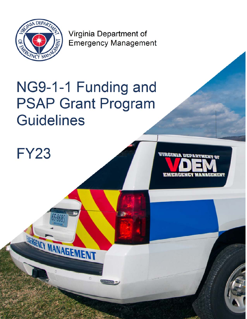

Virginia Department of Emergency Management

 $\mathcal{P}$ 

# NG9-1-1 Funding and PSAP Grant Program **Guidelines**

FY23

**STATISTICS** 

BRAGENCY MANIAGEMENT

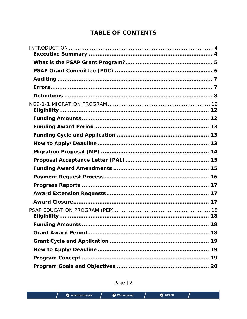# **TABLE OF CONTENTS**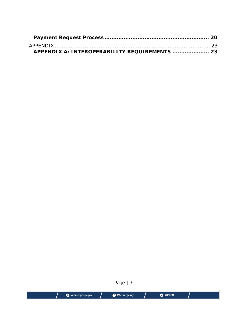|                 | Page $ 3$            |         |  |
|-----------------|----------------------|---------|--|
| vaemergency.gov | <b>O</b> VAemergency | O @VDEM |  |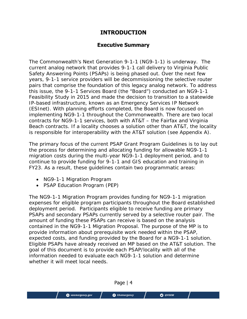# **INTRODUCTION**

### **Executive Summary**

The Commonwealth's Next Generation 9-1-1 (NG9-1-1) is underway. The current analog network that provides 9-1-1 call delivery to Virginia Public Safety Answering Points (PSAPs) is being phased out. Over the next few years, 9-1-1 service providers will be decommissioning the selective router pairs that comprise the foundation of this legacy analog network. To address this issue, the 9-1-1 Services Board (the "Board") conducted an NG9-1-1 Feasibility Study in 2015 and made the decision to transition to a statewide IP-based infrastructure, known as an Emergency Services IP Network (ESInet). With planning efforts completed, the Board is now focused on implementing NG9-1-1 throughout the Commonwealth. There are two local contracts for NG9-1-1 services, both with AT&T – the Fairfax and Virginia Beach contracts. If a locality chooses a solution other than AT&T, the locality is responsible for interoperability with the AT&T solution (see Appendix A).

The primary focus of the current PSAP Grant Program Guidelines is to lay out the process for determining and allocating funding for allowable NG9-1-1 migration costs during the multi-year NG9-1-1 deployment period, and to continue to provide funding for 9-1-1 and GIS education and training in FY23. As a result, these guidelines contain two programmatic areas:

- NG9-1-1 Migration Program
- PSAP Education Program (PEP)

The NG9-1-1 Migration Program provides funding for NG9-1-1 migration expenses for eligible program participants throughout the Board established deployment period. Participants eligible to receive funding are primary PSAPs and secondary PSAPs currently served by a selective router pair. The amount of funding these PSAPs can receive is based on the analysis contained in the NG9-1-1 Migration Proposal. The purpose of the MP is to provide information about prerequisite work needed within the PSAP, expected costs, and funding provided by the Board for a NG9-1-1 solution. Eligible PSAPs have already received an MP based on the AT&T solution. The goal of this document is to provide each PSAP/locality with all of the information needed to evaluate each NG9-1-1 solution and determine whether it will meet local needs.

Page | 4 O @VDEM vaemergency.gov **O** VAemergency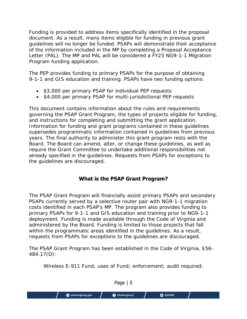Funding is provided to address items specifically identified in the proposal document. As a result, many items eligible for funding in previous grant guidelines will no longer be funded. PSAPs will demonstrate their acceptance of the information included in the MP by completing a Proposal Acceptance Letter (PAL). The MP and PAL will be considered a FY23 NG9-1-1 Migration Program funding application.

The PEP provides funding to primary PSAPs for the purpose of obtaining 9-1-1 and GIS education and training. PSAPs have two funding options:

- \$3,000 per primary PSAP for individual PEP requests
- \$4,000 per primary PSAP for multi-jurisdictional PEP requests

This document contains information about the rules and requirements governing the PSAP Grant Program, the types of projects eligible for funding, and instructions for completing and submitting the grant application. Information for funding and grant programs contained in these guidelines supersedes programmatic information contained in guidelines from previous years. The final authority to administer this grant program rests with the Board. The Board can amend, alter, or change these guidelines, as well as require the Grant Committee to undertake additional responsibilities not already specified in the guidelines. Requests from PSAPs for exceptions to the guidelines are discouraged.

## **What is the PSAP Grant Program?**

The PSAP Grant Program will financially assist primary PSAPs and secondary PSAPs currently served by a selective router pair with NG9-1-1 migration costs identified in each PSAP's MP. The program also provides funding to primary PSAPs for 9-1-1 and GIS education and training prior to NG9-1-1 deployment. Funding is made available through the Code of Virginia and administered by the Board. Funding is limited to those projects that fall within the programmatic areas identified in the guidelines. As a result, requests from PSAPs for exceptions to the guidelines are discouraged.

The PSAP Grant Program has been established in the Code of Virginia, §56- 484.17(D):

Wireless E-911 Fund; uses of Fund; enforcement; audit required:

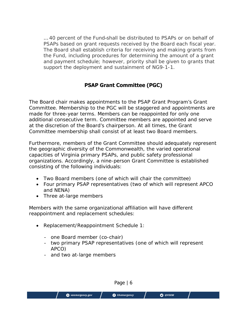… 40 percent of the Fund shall be distributed to PSAPs or on behalf of PSAPs based on grant requests received by the Board each fiscal year. The Board shall establish criteria for receiving and making grants from the Fund, including procedures for determining the amount of a grant and payment schedule; however, priority shall be given to grants that support the deployment and sustainment of NG9-1-1.

## **PSAP Grant Committee (PGC)**

The Board chair makes appointments to the PSAP Grant Program's Grant Committee. Membership to the PGC will be staggered and appointments are made for three-year terms. Members can be reappointed for only one additional consecutive term. Committee members are appointed and serve at the discretion of the Board's chairperson. At all times, the Grant Committee membership shall consist of at least two Board members.

Furthermore, members of the Grant Committee should adequately represent the geographic diversity of the Commonwealth, the varied operational capacities of Virginia primary PSAPs, and public safety professional organizations. Accordingly, a nine-person Grant Committee is established consisting of the following individuals:

- Two Board members (one of which will chair the committee)
- Four primary PSAP representatives (two of which will represent APCO and NENA)
- Three at-large members

Members with the same organizational affiliation will have different reappointment and replacement schedules:

- Replacement/Reappointment Schedule 1:
	- one Board member (co-chair)
	- two primary PSAP representatives (one of which will represent APCO)
	- and two at-large members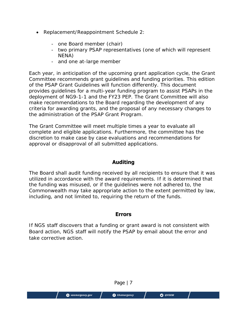- Replacement/Reappointment Schedule 2:
	- one Board member (chair)
	- two primary PSAP representatives (one of which will represent NENA)
	- and one at-large member

Each year, in anticipation of the upcoming grant application cycle, the Grant Committee recommends grant guidelines and funding priorities. This edition of the PSAP Grant Guidelines will function differently. This document provides guidelines for a multi-year funding program to assist PSAPs in the deployment of NG9-1-1 and the FY23 PEP. The Grant Committee will also make recommendations to the Board regarding the development of any criteria for awarding grants, and the proposal of any necessary changes to the administration of the PSAP Grant Program.

The Grant Committee will meet multiple times a year to evaluate all complete and eligible applications. Furthermore, the committee has the discretion to make case by case evaluations and recommendations for approval or disapproval of all submitted applications.

## **Auditing**

The Board shall audit funding received by all recipients to ensure that it was utilized in accordance with the award requirements. If it is determined that the funding was misused, or if the guidelines were not adhered to, the Commonwealth may take appropriate action to the extent permitted by law, including, and not limited to, requiring the return of the funds.

#### **Errors**

If NGS staff discovers that a funding or grant award is not consistent with Board action, NGS staff will notify the PSAP by email about the error and take corrective action.

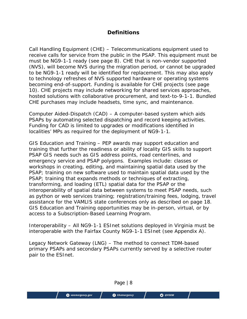## **Definitions**

Call Handling Equipment (CHE) – Telecommunications equipment used to receive calls for service from the public in the PSAP. This equipment must be must be NG9-1-1 ready (see page 8). CHE that is non-vendor supported (NVS), will become NVS during the migration period, or cannot be upgraded to be NG9-1-1 ready will be identified for replacement. This may also apply to technology refreshes of NVS supported hardware or operating systems becoming end-of-support. Funding is available for CHE projects (see page 10). CHE projects may include networking for shared services approaches, hosted solutions with collaborative procurement, and text-to-9-1-1. Bundled CHE purchases may include headsets, time sync, and maintenance.

Computer Aided-Dispatch (CAD) – A computer-based system which aids PSAPs by automating selected dispatching and record keeping activities. Funding for CAD is limited to upgrades or modifications identified in localities' MPs as required for the deployment of NG9-1-1.

GIS Education and Training – PEP awards may support education and training that further the readiness or ability of locality GIS skills to support PSAP GIS needs such as GIS address points, road centerlines, and emergency service and PSAP polygons. Examples include: classes or workshops in creating, editing, and maintaining spatial data used by the PSAP; training on new software used to maintain spatial data used by the PSAP; training that expands methods or techniques of extracting, transforming, and loading (ETL) spatial data for the PSAP or the interoperability of spatial data between systems to meet PSAP needs, such as python or web services training; registration/training fees, lodging, travel assistance for the VAMLIS state conferences only as described on page 18. GIS Education and Training opportunities may be in-person, virtual, or by access to a Subscription-Based Learning Program.

Interoperability – All NG9-1-1 ESInet solutions deployed in Virginia must be interoperable with the Fairfax County NG9-1-1 ESInet (see Appendix A).

Legacy Network Gateway (LNG) – The method to connect TDM-based primary PSAPs and secondary PSAPs currently served by a selective router pair to the ESInet.

Page | 8 O @VDEM vaemergency.gov **O** VAemergency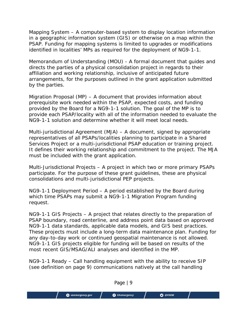Mapping System – A computer-based system to display location information in a geographic information system (GIS) or otherwise on a map within the PSAP. Funding for mapping systems is limited to upgrades or modifications identified in localities' MPs as required for the deployment of NG9-1-1.

Memorandum of Understanding (MOU) - A formal document that guides and directs the parties of a physical consolidation project in regards to their affiliation and working relationship, inclusive of anticipated future arrangements, for the purposes outlined in the grant application submitted by the parties.

Migration Proposal (MP) – A document that provides information about prerequisite work needed within the PSAP, expected costs, and funding provided by the Board for a NG9-1-1 solution. The goal of the MP is to provide each PSAP/locality with all of the information needed to evaluate the NG9-1-1 solution and determine whether it will meet local needs.

Multi-jurisdictional Agreement (MJA) – A document, signed by appropriate representatives of all PSAPs/localities planning to participate in a Shared Services Project or a multi-jurisdictional PSAP education or training project. It defines their working relationship and commitment to the project. The MJA must be included with the grant application.

Multi-Jurisdictional Projects – A project in which two or more primary PSAPs participate. For the purpose of these grant guidelines, these are physical consolidations and multi-jurisdictional PEP projects.

NG9-1-1 Deployment Period – A period established by the Board during which time PSAPs may submit a NG9-1-1 Migration Program funding request.

NG9-1-1 GIS Projects – A project that relates directly to the preparation of PSAP boundary, road centerline, and address point data based on approved NG9-1-1 data standards, applicable data models, and GIS best practices. These projects must include a long-term data maintenance plan. Funding for any day-to-day work or continued geospatial maintenance is not allowed. NG9-1-1 GIS projects eligible for funding will be based on results of the most recent GIS/MSAG/ALI analyses and identified in the MP.

NG9-1-1 Ready – Call handling equipment with the ability to receive SIP (see definition on page 9) communications natively at the call handling

Page | 9 O @VDEM vaemergency.gov **O** VAemergency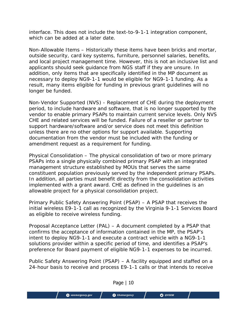interface. This does not include the text-to-9-1-1 integration component, which can be added at a later date.

Non-Allowable Items – Historically these items have been bricks and mortar, outside security, card key systems, furniture, personnel salaries, benefits, and local project management time. However, this is not an inclusive list and applicants should seek guidance from NGS staff if they are unsure. In addition, only items that are specifically identified in the MP document as necessary to deploy NG9-1-1 would be eligible for NG9-1-1 funding. As a result, many items eligible for funding in previous grant guidelines will no longer be funded.

Non-Vendor Supported (NVS) - Replacement of CHE during the deployment period, to include hardware and software, that is no longer supported by the vendor to enable primary PSAPs to maintain current service levels. Only NVS CHE and related services will be funded. Failure of a reseller or partner to support hardware/software and/or service does not meet this definition unless there are no other options for support available. Supporting documentation from the vendor must be included with the funding or amendment request as a requirement for funding.

Physical Consolidation – The physical consolidation of two or more primary PSAPs into a single physically combined primary PSAP with an integrated management structure established by MOUs that serves the same constituent population previously served by the independent primary PSAPs. In addition, all parties must benefit directly from the consolidation activities implemented with a grant award. CHE as defined in the guidelines is an allowable project for a physical consolidation project.

Primary Public Safety Answering Point (PSAP) – A PSAP that receives the initial wireless E9-1-1 call as recognized by the Virginia 9-1-1 Services Board as eligible to receive wireless funding.

Proposal Acceptance Letter (PAL) – A document completed by a PSAP that confirms the acceptance of information contained in the MP, the PSAP's intent to deploy NG9-1-1 and execute a contract vehicle with a NG9-1-1 solutions provider within a specific period of time, and identifies a PSAP's preference for Board payment of eligible NG9-1-1 expenses to be incurred.

Public Safety Answering Point (PSAP) – A facility equipped and staffed on a 24-hour basis to receive and process E9-1-1 calls or that intends to receive

Page | 10 O @VDEM vaemergency.gov **O** VAemergency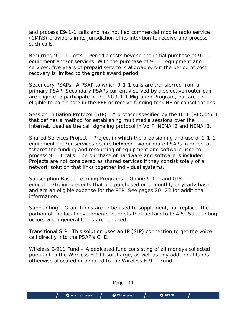and process E9-1-1 calls and has notified commercial mobile radio service (CMRS) providers in its jurisdiction of its intention to receive and process such calls.

Recurring 9-1-1 Costs – Periodic costs beyond the initial purchase of 9-1-1 equipment and/or services. With the purchase of 9-1-1 equipment and services, five years of prepaid service is allowable, but the period of cost recovery is limited to the grant award period.

Secondary PSAPs –A PSAP to which 9-1-1 calls are transferred from a primary PSAP. Secondary PSAPs currently served by a selective router pair are eligible to participate in the NG9-1-1 Migration Program, but are not eligible to participate in the PEP or receive funding for CHE or consolidations.

Session Initiation Protocol (SIP) - A protocol specified by the IETF (RFC3261) that defines a method for establishing multimedia sessions over the Internet. Used as the call signaling protocol in VoIP, NENA i2 and NENA i3.

Shared Services Project – Project in which the provisioning and use of 9-1-1 equipment and/or services occurs between two or more PSAPs in order to "share" the funding and resourcing of equipment and software used to process 9-1-1 calls. The purchase of hardware and software is included. Projects are not considered as shared services if they consist solely of a network solution that links together individual systems.

Subscription Based Learning Programs – Online 9-1-1 and GIS education/training events that are purchased on a monthly or yearly basis, and are an eligible expense for the PEP. See pages 20 -23 for additional information.

Supplanting – Grant funds are to be used to supplement, not replace, the portion of the local governments' budgets that pertain to PSAPs. Supplanting occurs when general funds are replaced.

Transitional SIP –This solution uses an IP (SIP) connection to get the voice call directly into the PSAP's CHE.

Wireless E-911 Fund – A dedicated fund consisting of all moneys collected pursuant to the Wireless E-911 surcharge, as well as any additional funds otherwise allocated or donated to the Wireless E-911 Fund.

Page | 11 O @VDEM vaemergency.gov **O** VAemergency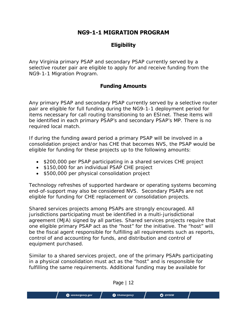# **NG9-1-1 MIGRATION PROGRAM**

## **Eligibility**

Any Virginia primary PSAP and secondary PSAP currently served by a selective router pair are eligible to apply for and receive funding from the NG9-1-1 Migration Program.

## **Funding Amounts**

Any primary PSAP and secondary PSAP currently served by a selective router pair are eligible for full funding during the NG9-1-1 deployment period for items necessary for call routing transitioning to an ESInet. These items will be identified in each primary PSAP's and secondary PSAP's MP. There is no required local match.

If during the funding award period a primary PSAP will be involved in a consolidation project and/or has CHE that becomes NVS, the PSAP would be eligible for funding for these projects up to the following amounts:

- \$200,000 per PSAP participating in a shared services CHE project
- \$150,000 for an individual PSAP CHE project
- \$500,000 per physical consolidation project

Technology refreshes of supported hardware or operating systems becoming end-of-support may also be considered NVS. Secondary PSAPs are not eligible for funding for CHE replacement or consolidation projects.

Shared services projects among PSAPs are strongly encouraged. All jurisdictions participating must be identified in a multi-jurisdictional agreement (MJA) signed by all parties. Shared services projects require that one eligible primary PSAP act as the "host" for the initiative. The "host" will be the fiscal agent responsible for fulfilling all requirements such as reports, control of and accounting for funds, and distribution and control of equipment purchased.

Similar to a shared services project, one of the primary PSAPs participating in a physical consolidation must act as the "host" and is responsible for fulfilling the same requirements. Additional funding may be available for

|                   | Page  <br>ᅭ          |                 |  |
|-------------------|----------------------|-----------------|--|
| W vnomorgonry gov | <b>A</b> VARMORGONCY | $\bigcap$ QUDEM |  |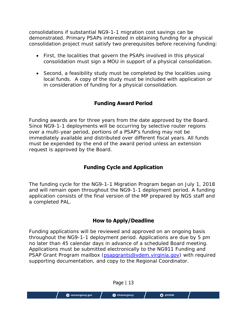consolidations if substantial NG9-1-1 migration cost savings can be demonstrated. Primary PSAPs interested in obtaining funding for a physical consolidation project must satisfy two prerequisites before receiving funding:

- First, the localities that govern the PSAPs involved in this physical consolidation must sign a MOU in support of a physical consolidation.
- Second, a feasibility study must be completed by the localities using local funds. A copy of the study must be included with application or in consideration of funding for a physical consolidation.

## **Funding Award Period**

Funding awards are for three years from the date approved by the Board. Since NG9-1-1 deployments will be occurring by selective router regions over a multi-year period, portions of a PSAP's funding may not be immediately available and distributed over different fiscal years. All funds must be expended by the end of the award period unless an extension request is approved by the Board.

## **Funding Cycle and Application**

The funding cycle for the NG9-1-1 Migration Program began on July 1, 2018 and will remain open throughout the NG9-1-1 deployment period. A funding application consists of the final version of the MP prepared by NGS staff and a completed PAL.

## **How to Apply/Deadline**

Funding applications will be reviewed and approved on an ongoing basis throughout the NG9-1-1 deployment period. Applications are due by 5 pm no later than 45 calendar days in advance of a scheduled Board meeting. Applications must be submitted electronically to the NG911 Funding and PSAP Grant Program mailbox (psapgrants@vdem.virginia.gov) with required supporting documentation, and copy to the Regional Coordinator.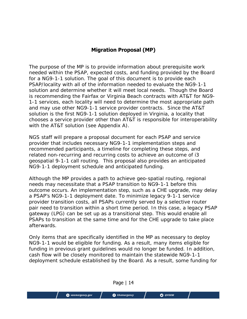## **Migration Proposal (MP)**

The purpose of the MP is to provide information about prerequisite work needed within the PSAP, expected costs, and funding provided by the Board for a NG9-1-1 solution. The goal of this document is to provide each PSAP/locality with all of the information needed to evaluate the NG9-1-1 solution and determine whether it will meet local needs. Though the Board is recommending the Fairfax or Virginia Beach contracts with AT&T for NG9- 1-1 services, each locality will need to determine the most appropriate path and may use other NG9-1-1 service provider contracts. Since the AT&T solution is the first NG9-1-1 solution deployed in Virginia, a locality that chooses a service provider other than AT&T is responsible for interoperability with the AT&T solution (see Appendix A).

NGS staff will prepare a proposal document for each PSAP and service provider that includes necessary NG9-1-1 implementation steps and recommended participants, a timeline for completing these steps, and related non-recurring and recurring costs to achieve an outcome of i3 geospatial 9-1-1 call routing. This proposal also provides an anticipated NG9-1-1 deployment schedule and anticipated funding.

Although the MP provides a path to achieve geo-spatial routing, regional needs may necessitate that a PSAP transition to NG9-1-1 before this outcome occurs. An implementation step, such as a CHE upgrade, may delay a PSAP's NG9-1-1 deployment date. To minimize legacy 9-1-1 service provider transition costs, all PSAPs currently served by a selective router pair need to transition within a short time period. In this case, a legacy PSAP gateway (LPG) can be set up as a transitional step. This would enable all PSAPs to transition at the same time and for the CHE upgrade to take place afterwards.

Only items that are specifically identified in the MP as necessary to deploy NG9-1-1 would be eligible for funding. As a result, many items eligible for funding in previous grant guidelines would no longer be funded. In addition, cash flow will be closely monitored to maintain the statewide NG9-1-1 deployment schedule established by the Board. As a result, some funding for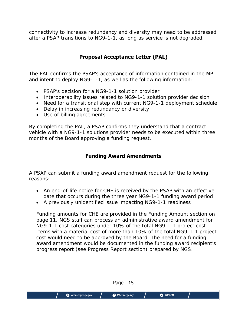connectivity to increase redundancy and diversity may need to be addressed after a PSAP transitions to NG9-1-1, as long as service is not degraded.

# **Proposal Acceptance Letter (PAL)**

The PAL confirms the PSAP's acceptance of information contained in the MP and intent to deploy NG9-1-1, as well as the following information:

- PSAP's decision for a NG9-1-1 solution provider
- Interoperability issues related to NG9-1-1 solution provider decision
- Need for a transitional step with current NG9-1-1 deployment schedule
- Delay in increasing redundancy or diversity
- Use of billing agreements

vaemergency.gov

By completing the PAL, a PSAP confirms they understand that a contract vehicle with a NG9-1-1 solutions provider needs to be executed within three months of the Board approving a funding request.

## **Funding Award Amendments**

A PSAP can submit a funding award amendment request for the following reasons:

- An end-of-life notice for CHE is received by the PSAP with an effective date that occurs during the three year NG9-1-1 funding award period
- A previously unidentified issue impacting NG9-1-1 readiness

Funding amounts for CHE are provided in the Funding Amount section on page 11. NGS staff can process an administrative award amendment for NG9-1-1 cost categories under 10% of the total NG9-1-1 project cost. Items with a material cost of more than 10% of the total NG9-1-1 project cost would need to be approved by the Board. The need for a funding award amendment would be documented in the funding award recipient's progress report (see Progress Report section) prepared by NGS.

Page | 15

**O** VAemergency

O @VDEM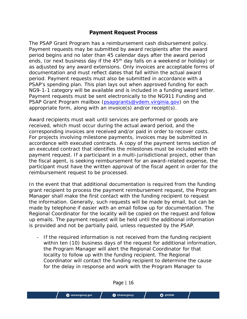#### **Payment Request Process**

The PSAP Grant Program has a reimbursement cash disbursement policy. Payment requests may be submitted by award recipients after the award period begins and no later than 45 calendar days after the award period ends, (or next business day if the 45<sup>th</sup> day falls on a weekend or holiday) or as adjusted by any award extensions. Only invoices are acceptable forms of documentation and must reflect dates that fall within the actual award period. Payment requests must also be submitted in accordance with a PSAP's spending plan. This plan lays out when approved funding for each NG9-1-1 category will be available and is included in a funding award letter. Payment requests must be sent electronically to the NG911 Funding and PSAP Grant Program mailbox (psapgrants@vdem.virginia.gov) on the appropriate form, along with an invoice(s) and/or receipt(s).

Award recipients must wait until services are performed or goods are received, which must occur during the actual award period, and the corresponding invoices are received and/or paid in order to recover costs. For projects involving milestone payments, invoices may be submitted in accordance with executed contracts. A copy of the payment terms section of an executed contract that identifies the milestones must be included with the payment request. If a participant in a multi-jurisdictional project, other than the fiscal agent, is seeking reimbursement for an award-related expense, the participant must have the written approval of the fiscal agent in order for the reimbursement request to be processed.

In the event that that additional documentation is required from the funding grant recipient to process the payment reimbursement request, the Program Manager shall make the first contact with the funding recipient to request the information. Generally, such requests will be made by email, but can be made by telephone if easier with an email follow up for documentation. The Regional Coordinator for the locality will be copied on the request and follow up emails. The payment request will be held until the additional information is provided and not be partially paid, unless requested by the PSAP.

- If the required information is not received from the funding recipient within ten (10) business days of the request for additional information, the Program Manager will alert the Regional Coordinator for that locality to follow up with the funding recipient. The Regional Coordinator will contact the funding recipient to determine the cause for the delay in response and work with the Program Manager to

| $O$ @VDEM<br><b>O</b> vaemergency.gov<br><b>B</b> VAemergency |
|---------------------------------------------------------------|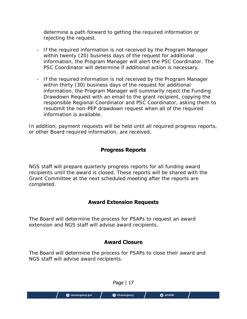determine a path forward to getting the required information or rejecting the request.

- If the required information is not received by the Program Manager within twenty (20) business days of the request for additional information, the Program Manager will alert the PSC Coordinator. The PSC Coordinator will determine if additional action is necessary.
- If the required information is not received by the Program Manager within thirty (30) business days of the request for additional information, the Program Manager will summarily reject the Funding Drawdown Request with an email to the grant recipient, copying the responsible Regional Coordinator and PSC Coordinator, asking them to resubmit the non-PEP drawdown request when all of the required information is available.

In addition, payment requests will be held until all required progress reports, or other Board required information, are received.

## **Progress Reports**

NGS staff will prepare quarterly progress reports for all funding award recipients until the award is closed. These reports will be shared with the Grant Committee at the next scheduled meeting after the reports are completed.

## **Award Extension Requests**

The Board will determine the process for PSAPs to request an award extension and NGS staff will advise award recipients.

# **Award Closure**

The Board will determine the process for PSAPs to close their award and NGS staff will advise award recipients.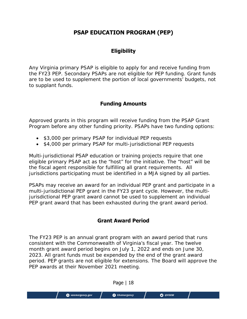# **PSAP EDUCATION PROGRAM (PEP)**

## **Eligibility**

Any Virginia primary PSAP is eligible to apply for and receive funding from the FY23 PEP. Secondary PSAPs are not eligible for PEP funding. Grant funds are to be used to supplement the portion of local governments' budgets, not to supplant funds.

## **Funding Amounts**

Approved grants in this program will receive funding from the PSAP Grant Program before any other funding priority. PSAPs have two funding options:

- \$3,000 per primary PSAP for individual PEP requests
- \$4,000 per primary PSAP for multi-jurisdictional PEP requests

Multi-jurisdictional PSAP education or training projects require that one eligible primary PSAP act as the "host" for the initiative. The "host" will be the fiscal agent responsible for fulfilling all grant requirements. All jurisdictions participating must be identified in a MJA signed by all parties.

PSAPs may receive an award for an individual PEP grant and participate in a multi-jurisdictional PEP grant in the FY23 grant cycle. However, the multijurisdictional PEP grant award cannot be used to supplement an individual PEP grant award that has been exhausted during the grant award period.

## **Grant Award Period**

The FY23 PEP is an annual grant program with an award period that runs consistent with the Commonwealth of Virginia's fiscal year. The twelve month grant award period begins on July 1, 2022 and ends on June 30, 2023. All grant funds must be expended by the end of the grant award period. PEP grants are not eligible for extensions. The Board will approve the PEP awards at their November 2021 meeting.

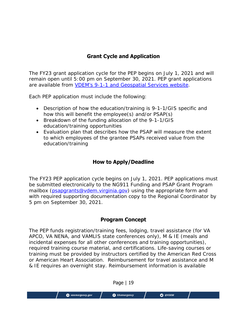## **Grant Cycle and Application**

The FY23 grant application cycle for the PEP begins on July 1, 2021 and will remain open until 5:00 pm on September 30, 2021. PEP grant applications are available from VDEM's 9-1-1 and Geospatial Services website.

Each PEP application must include the following:

- Description of how the education/training is 9-1-1/GIS specific and how this will benefit the employee(s) and/or PSAP(s)
- Breakdown of the funding allocation of the 9-1-1/GIS education/training opportunities
- Evaluation plan that describes how the PSAP will measure the extent to which employees of the grantee PSAPs received value from the education/training

## **How to Apply/Deadline**

The FY23 PEP application cycle begins on July 1, 2021. PEP applications must be submitted electronically to the NG911 Funding and PSAP Grant Program mailbox (psapgrants@vdem.virginia.gov) using the appropriate form and with required supporting documentation copy to the Regional Coordinator by 5 pm on September 30, 2021.

## **Program Concept**

The PEP funds registration/training fees, lodging, travel assistance (for VA APCO, VA NENA, and VAMLIS state conferences only), M & IE (meals and incidental expenses for all other conferences and training opportunities), required training course material, and certifications. Life-saving courses or training must be provided by instructors certified by the American Red Cross or American Heart Association. Reimbursement for travel assistance and M & IE requires an overnight stay. Reimbursement information is available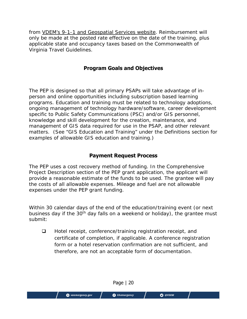from VDEM's 9-1-1 and Geospatial Services website. Reimbursement will only be made at the posted rate effective on the date of the training, plus applicable state and occupancy taxes based on the Commonwealth of Virginia Travel Guidelines.

## **Program Goals and Objectives**

The PEP is designed so that all primary PSAPs will take advantage of inperson and online opportunities including subscription based learning programs. Education and training must be related to technology adoptions, ongoing management of technology hardware/software, career development specific to Public Safety Communications (PSC) and/or GIS personnel, knowledge and skill development for the creation, maintenance, and management of GIS data required for use in the PSAP, and other relevant matters. (See "GIS Education and Training" under the Definitions section for examples of allowable GIS education and training.)

#### **Payment Request Process**

The PEP uses a cost recovery method of funding. In the Comprehensive Project Description section of the PEP grant application, the applicant will provide a reasonable estimate of the funds to be used. The grantee will pay the costs of all allowable expenses. Mileage and fuel are not allowable expenses under the PEP grant funding.

Within 30 calendar days of the end of the education/training event (or next business day if the 30<sup>th</sup> day falls on a weekend or holiday), the grantee must submit:

 $\Box$  Hotel receipt, conference/training registration receipt, and certificate of completion, if applicable. A conference registration form or a hotel reservation confirmation are not sufficient, and therefore, are not an acceptable form of documentation.

Page | 20 O @VDEM vaemergency.gov **O** VAemergency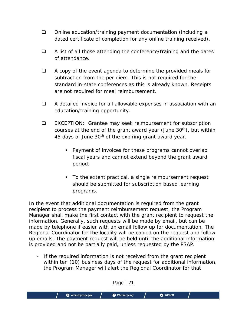- □ Online education/training payment documentation (including a dated certificate of completion for any online training received).
- $\Box$  A list of all those attending the conference/training and the dates of attendance.
- $\Box$  A copy of the event agenda to determine the provided meals for subtraction from the per diem. This is not required for the standard in-state conferences as this is already known. Receipts are not required for meal reimbursement.
- A detailed invoice for all allowable expenses in association with an education/training opportunity.
- □ EXCEPTION: Grantee may seek reimbursement for subscription courses at the end of the grant award year (June  $30<sup>th</sup>$ ), but within 45 days of June 30<sup>th</sup> of the expiring grant award year.
	- **Payment of invoices for these programs cannot overlap** fiscal years and cannot extend beyond the grant award period.
	- To the extent practical, a single reimbursement request should be submitted for subscription based learning programs.

In the event that additional documentation is required from the grant recipient to process the payment reimbursement request, the Program Manager shall make the first contact with the grant recipient to request the information. Generally, such requests will be made by email, but can be made by telephone if easier with an email follow up for documentation. The Regional Coordinator for the locality will be copied on the request and follow up emails. The payment request will be held until the additional information is provided and not be partially paid, unless requested by the PSAP.

- If the required information is not received from the grant recipient within ten (10) business days of the request for additional information, the Program Manager will alert the Regional Coordinator for that

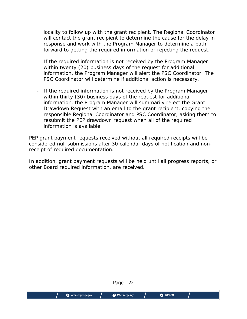locality to follow up with the grant recipient. The Regional Coordinator will contact the grant recipient to determine the cause for the delay in response and work with the Program Manager to determine a path forward to getting the required information or rejecting the request.

- If the required information is not received by the Program Manager within twenty (20) business days of the request for additional information, the Program Manager will alert the PSC Coordinator. The PSC Coordinator will determine if additional action is necessary.
- If the required information is not received by the Program Manager within thirty (30) business days of the request for additional information, the Program Manager will summarily reject the Grant Drawdown Request with an email to the grant recipient, copying the responsible Regional Coordinator and PSC Coordinator, asking them to resubmit the PEP drawdown request when all of the required information is available.

PEP grant payment requests received without all required receipts will be considered null submissions after 30 calendar days of notification and nonreceipt of required documentation.

In addition, grant payment requests will be held until all progress reports, or other Board required information, are received.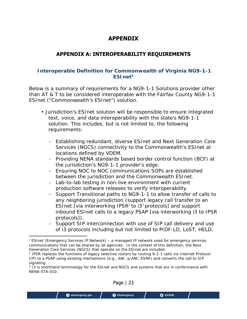# **APPENDIX**

## **APPENDIX A: INTEROPERABILITY REQUIREMENTS**

#### **Interoperable Definition for Commonwealth of Virginia NG9-1-1 ESInet1**

Below is a summary of requirements for a NG9-1-1 Solutions provider other than AT & T to be considered interoperable with the Fairfax County NG9-1-1 ESInet ("Commonwealth's ESInet") solution.

- Jurisdiction's ESInet solution will be responsible to ensure integrated text, voice, and data interoperability with the state's NG9-1-1 solution. This includes, but is not limited to, the following requirements:
	- Establishing redundant, diverse ESInet and Next Generation Core Services (NGCS) connectivity to the Commonwealth's ESInet at locations defined by VDEM.
	- Providing NENA standards based border control function (BCF) at the jurisdiction's NG9-1-1 provider's edge.
	- Ensuring NOC to NOC communications SOPs are established between the jurisdiction and the Commonwealth ESInet.
	- Lab-to-lab testing in non-live environment with current production software releases to verify interoperability.
	- Support Transitional paths to NG9-1-1 to allow transfer of calls to any neighboring jurisdiction (support legacy call transfer to an ESInet [via interworking IPSR<sup>2</sup> to  $13<sup>3</sup>$  protocols] and support inbound ESInet calls to a legacy PSAP [via interworking i3 to IPSR protocols]).
	- Support SIP interconnection with use of SIP call delivery and use of i3 protocols including but not limited to PIDF-LO, LoST, HELD,

<sup>&</sup>lt;sup>3</sup> I3 is shorthand terminology for the ESInet and NGCS and systems that are in conformance with NENA-STA-010.



 $<sup>1</sup>$  ESInet (Emergency Services IP Network) – a managed IP network used for emergency services</sup> communications that can be shared by all agencies. In the context of this definition, the Next Generation Core Services (NGCS) that operate on the ESInet are included.

<sup>2</sup> IPSR replaces the functions of legacy selective routers by routing 9-1-1 calls via Internet Protocol (IP) to a PSAP using existing mechanisms (e.g., ANI, p-ANI, ESRK) and converts the call to SIP signaling.